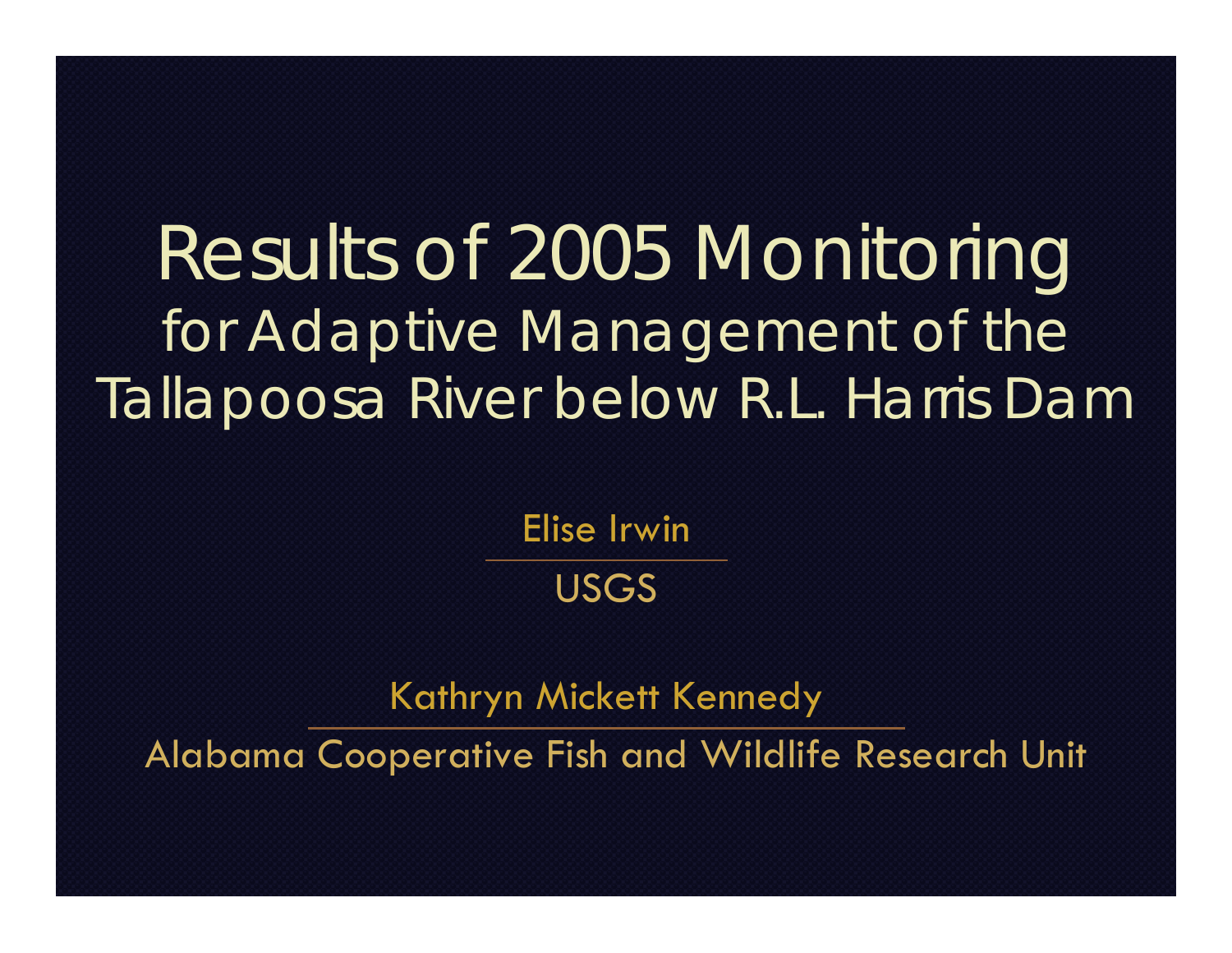#### Results of 2005 Monitoring for Adaptive Management of the Tallapoosa River below R.L. Harris Dam

Elise Irwin

#### USGS

Kathryn Mickett Kennedy

Alabama Cooperative Fish and Wildlife Research Unit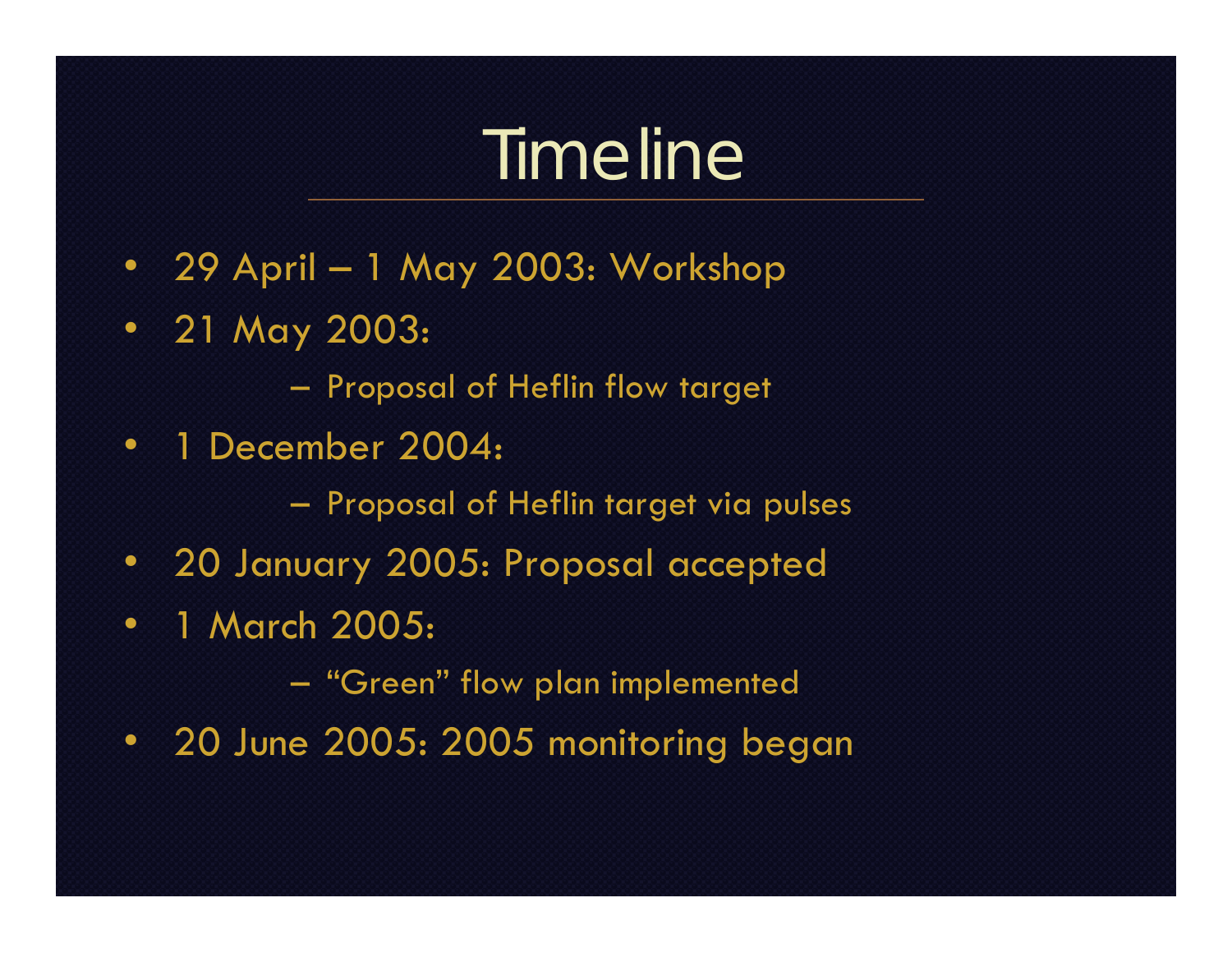## Timeline

- 29 April 1 May 2003: Workshop
- 21 May 2003:
	- –Proposal of Heflin flow target
- • 1 December 2004:
	- Proposal of Heflin target via pulses
- 20 January 2005: Proposal accepted
- • 1 March 2005:
	- $\mathcal{L}_{\mathcal{A}}$ "Green" flow plan implemented
- 20 June 2005: 2005 monitoring began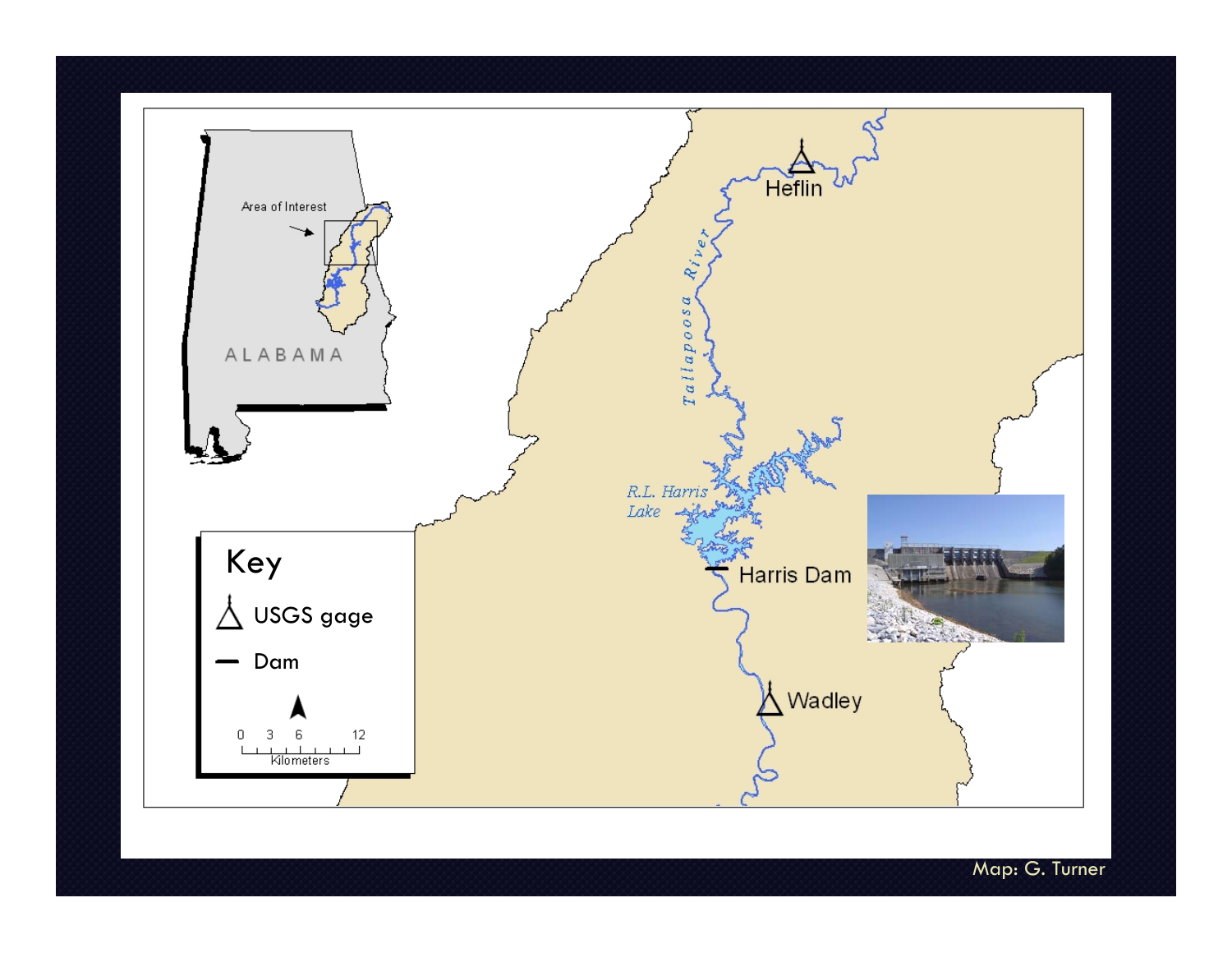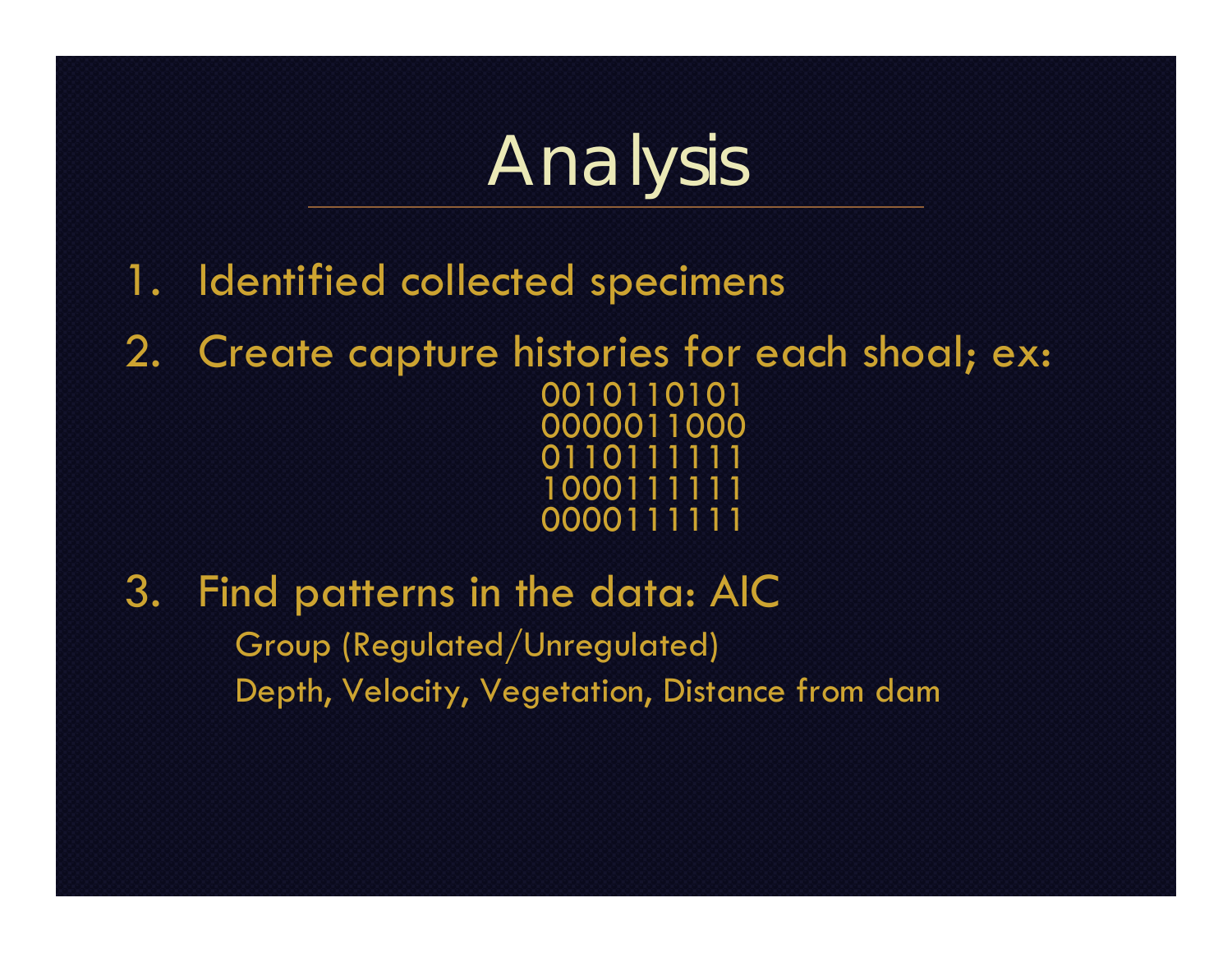## Analysis

- 1. Identified collected specimens
- 2. Create capture histories for each shoal; ex: 0010110101 0000011000 0110111111 1000111111 0000111111
- 3. Find patterns in the data: AIC Group (Regulated/Unregulated) Depth, Velocity, Vegetation, Distance from dam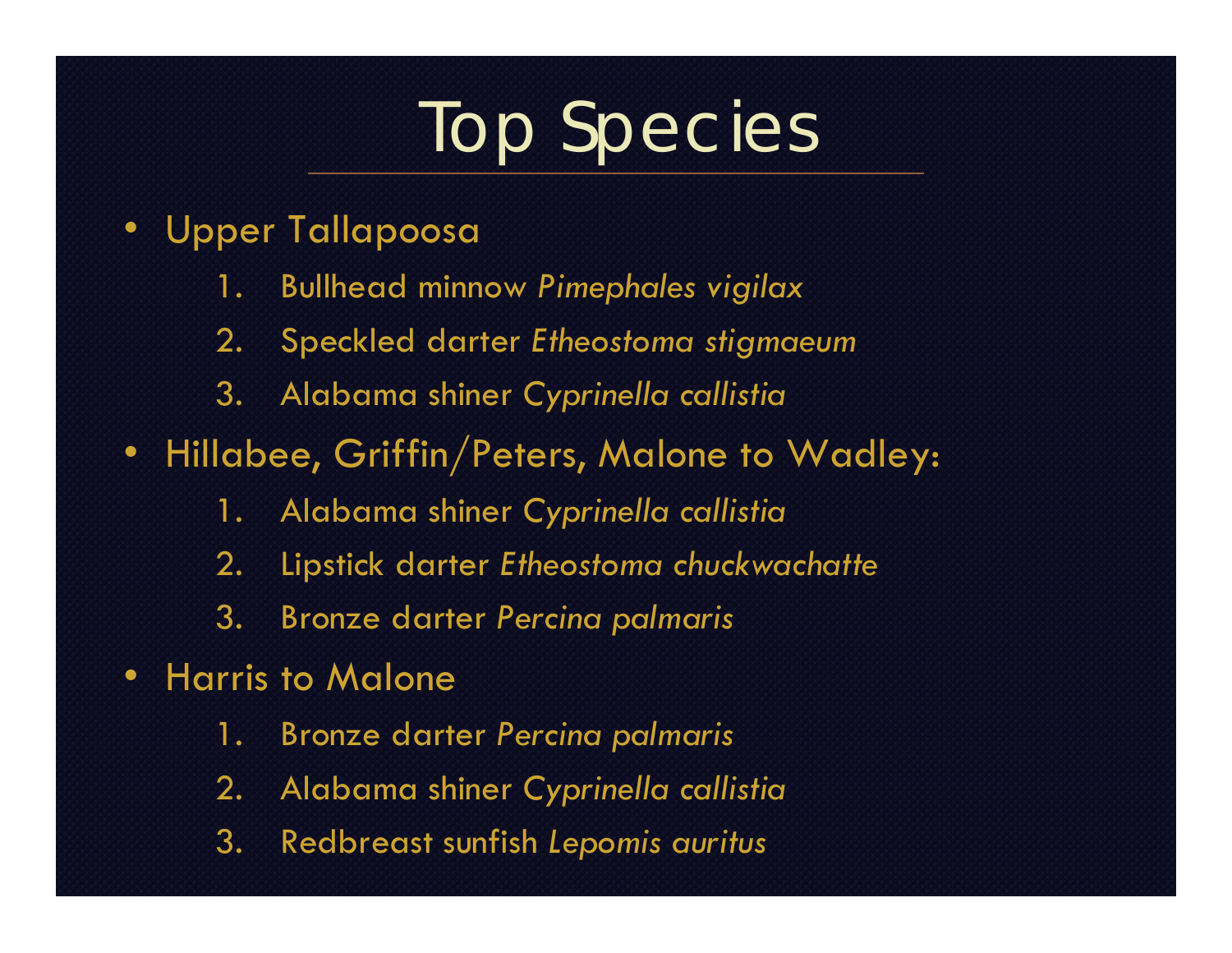## Top Species

- • Upper Tallapoosa
	- 1. Bullhead minnow *Pimephales vigilax*
	- 2. Speckled darter *Etheostoma stigmaeum*
	- 3. Alabama shiner *Cyprinella callistia*
- Hillabee, Griffin/Peters, Malone to Wadley:
	- 1. Alabama shiner *Cyprinella callistia*
	- 2. Lipstick darter *Etheostoma chuckwachatte*
	- 3. Bronze darter *Percina palmaris*
- • Harris to Malone
	- 1. Bronze darter *Percina palmaris*
	- 2. Alabama shiner *Cyprinella callistia*
	- 3. Redbreast sunfish *Lepomis auritus*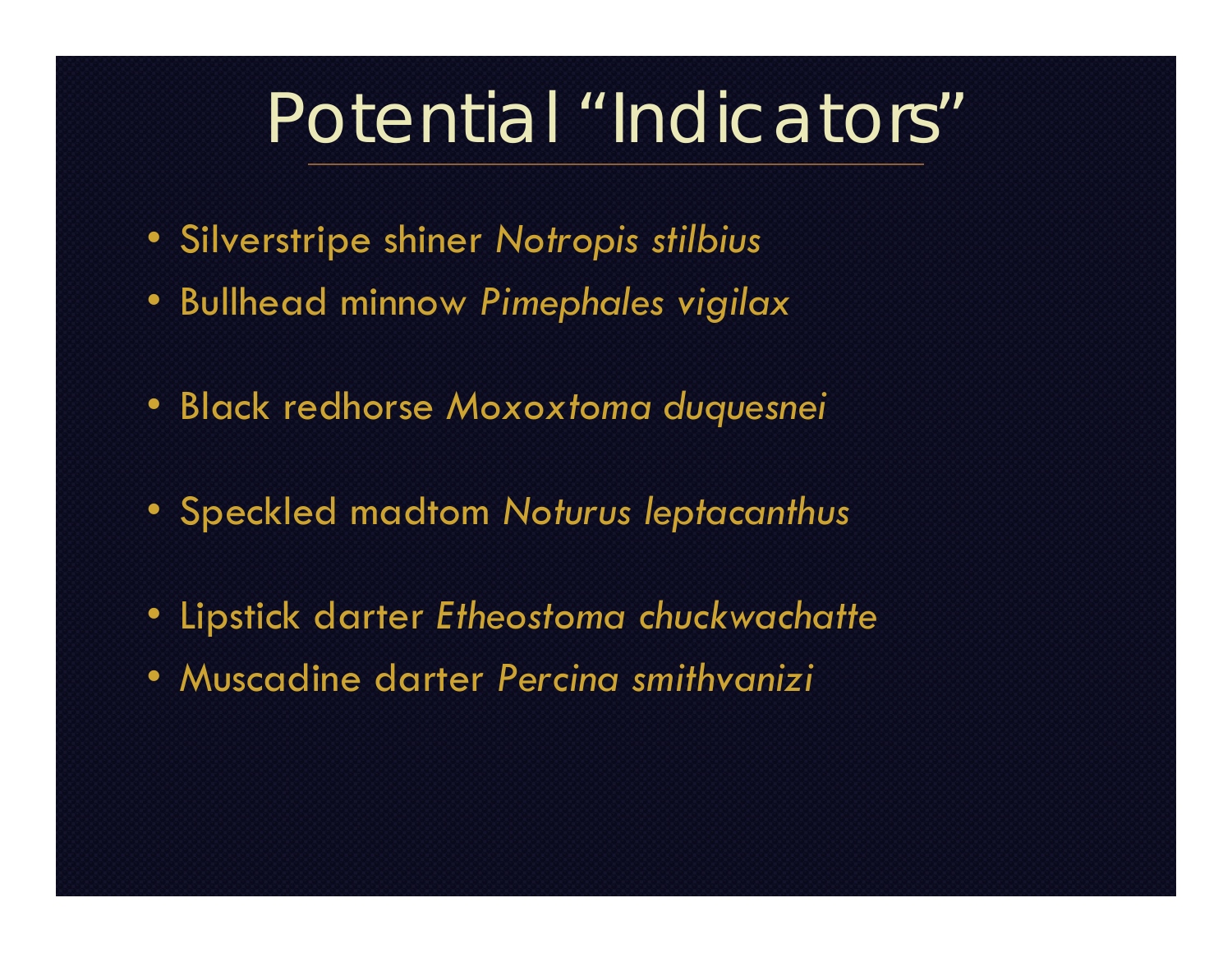#### Potential "Indicators"

- Silverstripe shiner *Notropis stilbius*
- Bullhead minnow *Pimephales vigilax*
- Black redhorse *Moxoxtoma duquesnei*
- Speckled madtom *Noturus leptacanthus*
- Lipstick darter *Etheostoma chuckwachatte*
- Muscadine darter *Percina smithvanizi*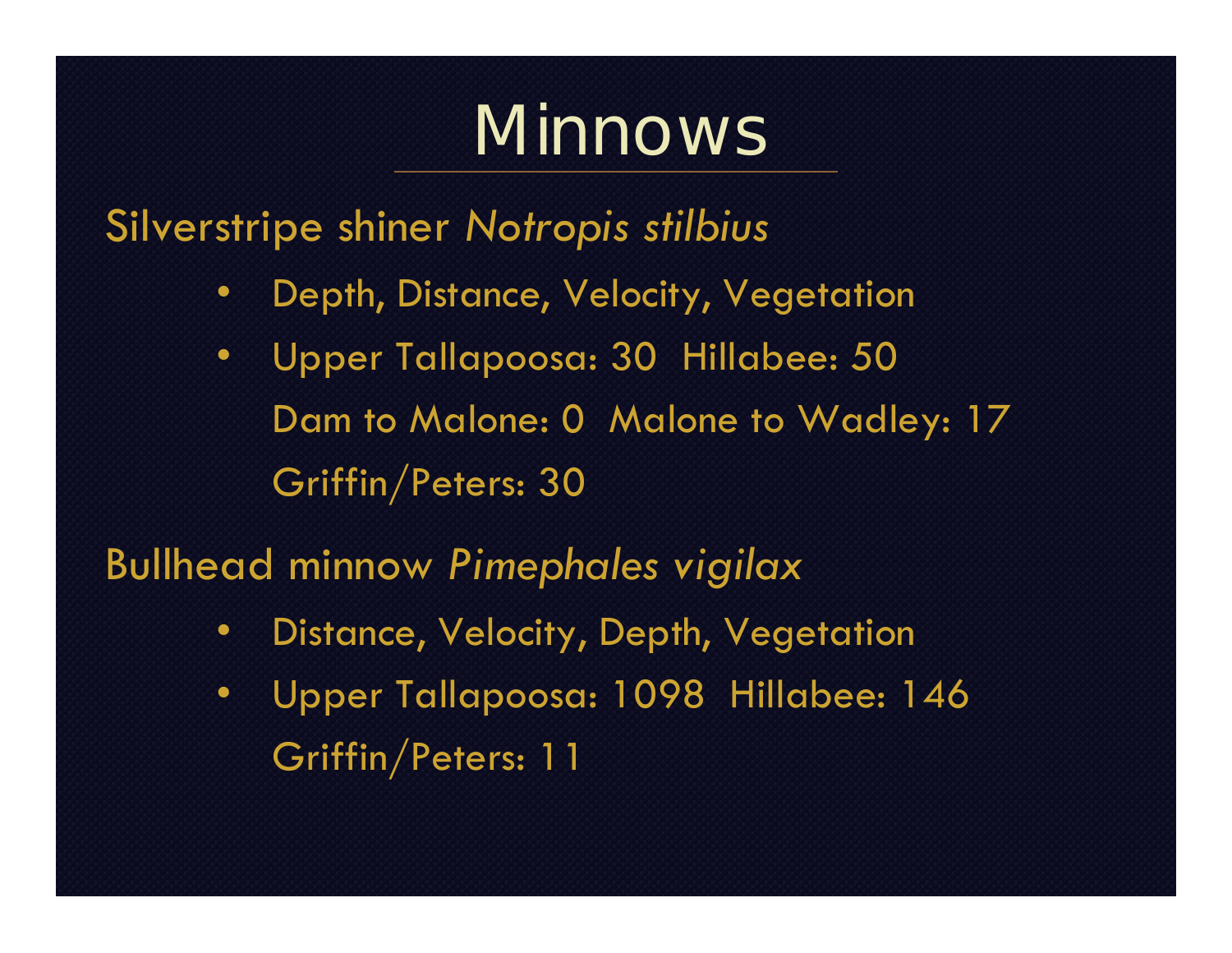### Minnows

Silverstripe shiner *Notropis stilbius*

- •Depth, Distance, Velocity, Vegetation
- • Upper Tallapoosa: 30 Hillabee: 50 Dam to Malone: 0 Malone to Wadley: 17 Griffin/Peters: 30

Bullhead minnow *Pimephales vigilax*

- •Distance, Velocity, Depth, Vegetation
- • Upper Tallapoosa: 1098 Hillabee: 146 Griffin/Peters: 11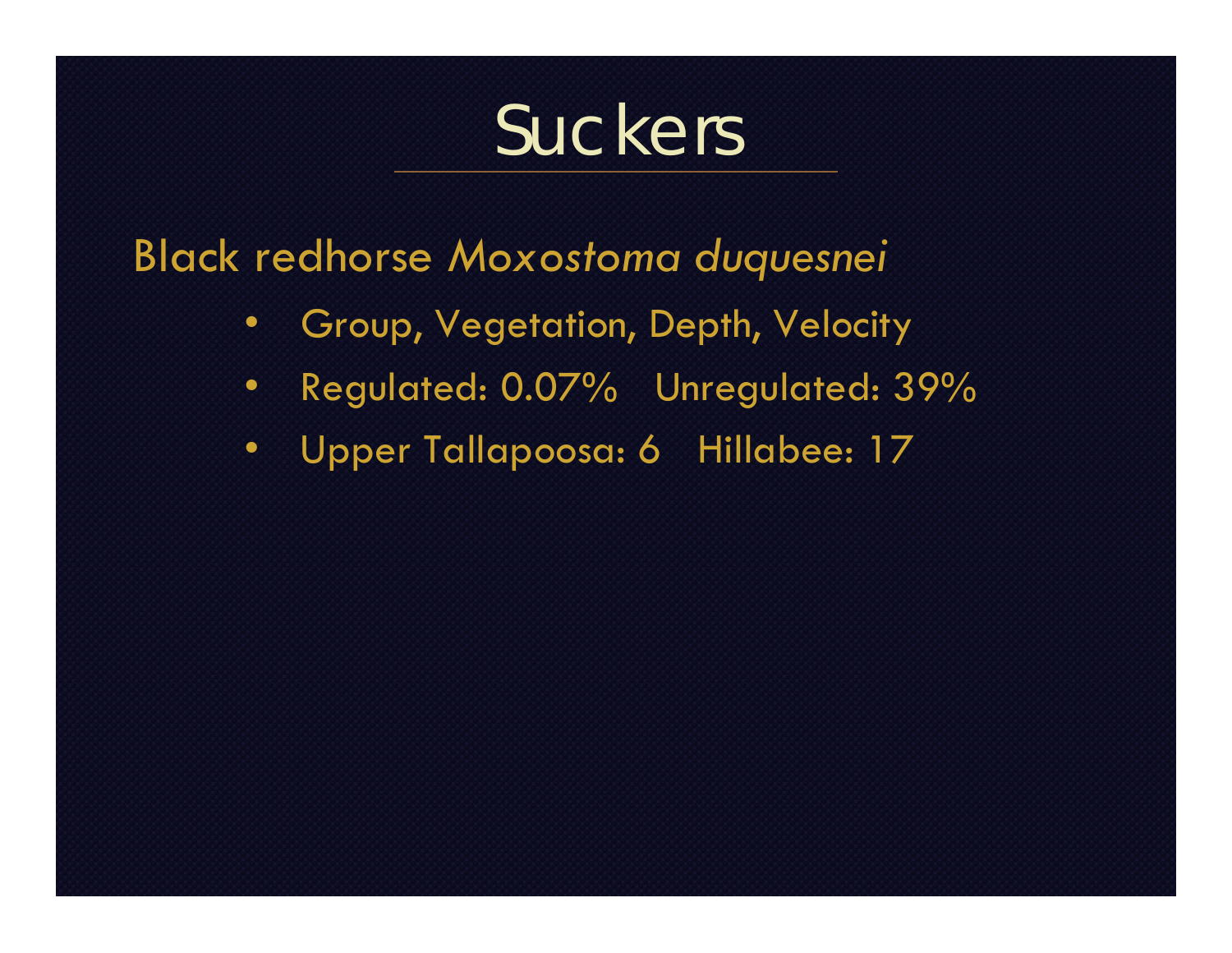#### Suckers

Black redhorse *Moxostoma duquesnei*

- Group, Vegetation, Depth, Velocity
- Regulated: 0.07% Unregulated: 39%
- Upper Tallapoosa: 6 Hillabee: 17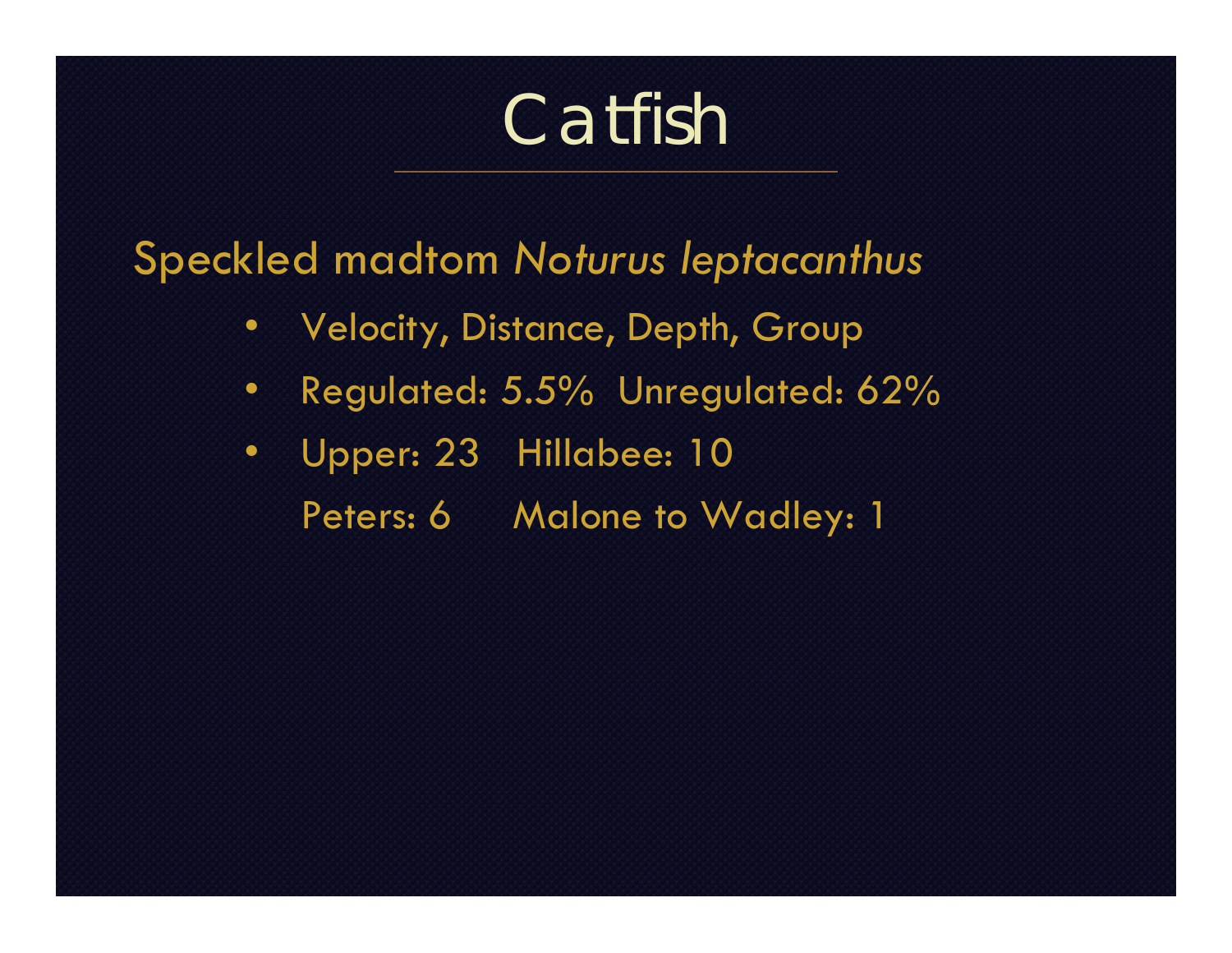### Catfish

Speckled madtom *Noturus leptacanthus*

- Velocity, Distance, Depth, Group
- Regulated: 5.5% Unregulated: 62%
- Upper: 23 Hillabee: 10 Peters: 6 Malone to Wadley: 1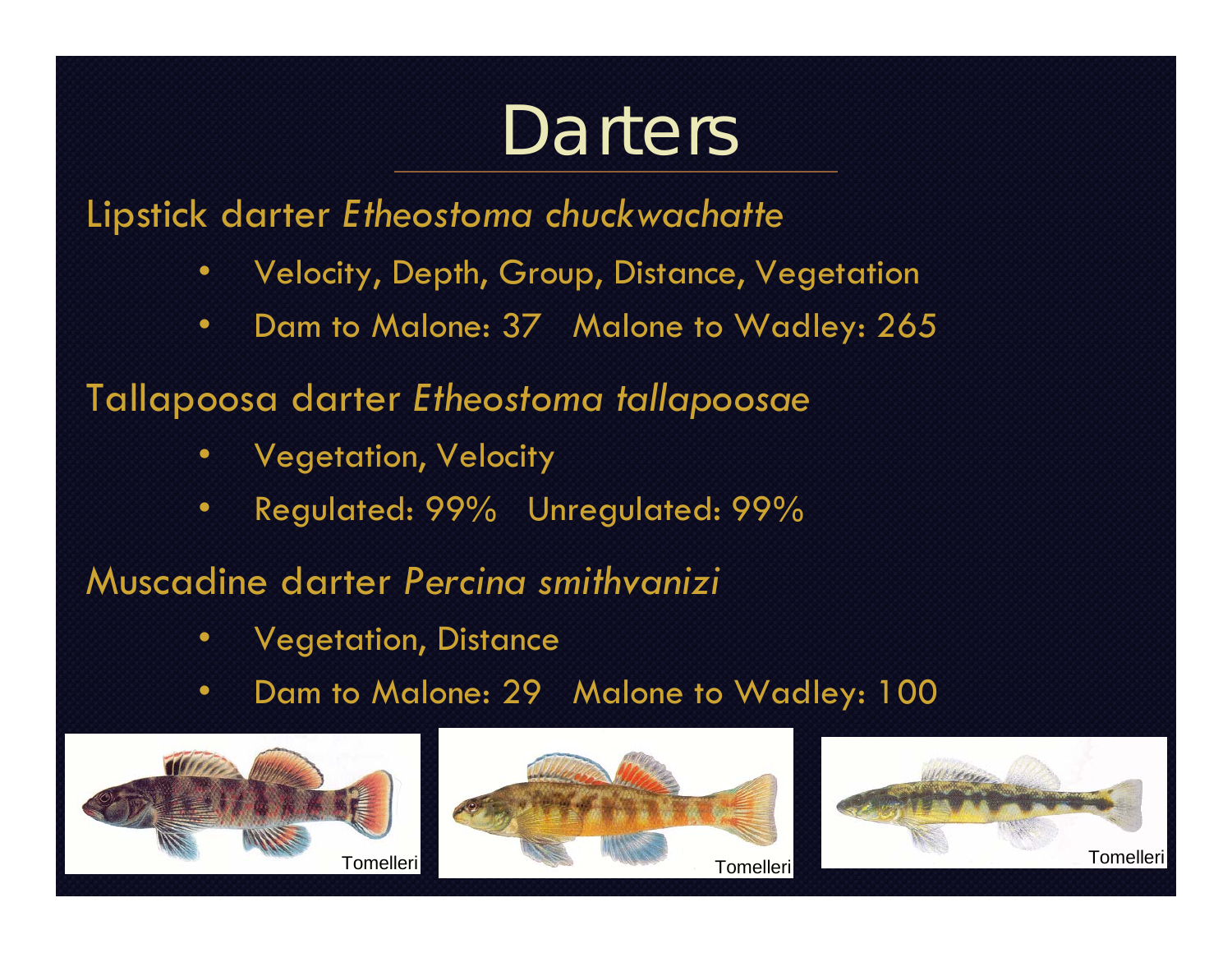## **Darters**

Lipstick darter *Etheostoma chuckwachatte*

- •Velocity, Depth, Group, Distance, Vegetation
- •Dam to Malone: 37 Malone to Wadley: 265
- Tallapoosa darter *Etheostoma tallapoosae*
	- •Vegetation, Velocity
	- •Regulated: 99% Unregulated: 99%

Muscadine darter *Percina smithvanizi*

- •Vegetation, Distance
- •Dam to Malone: 29 Malone to Wadley: 100





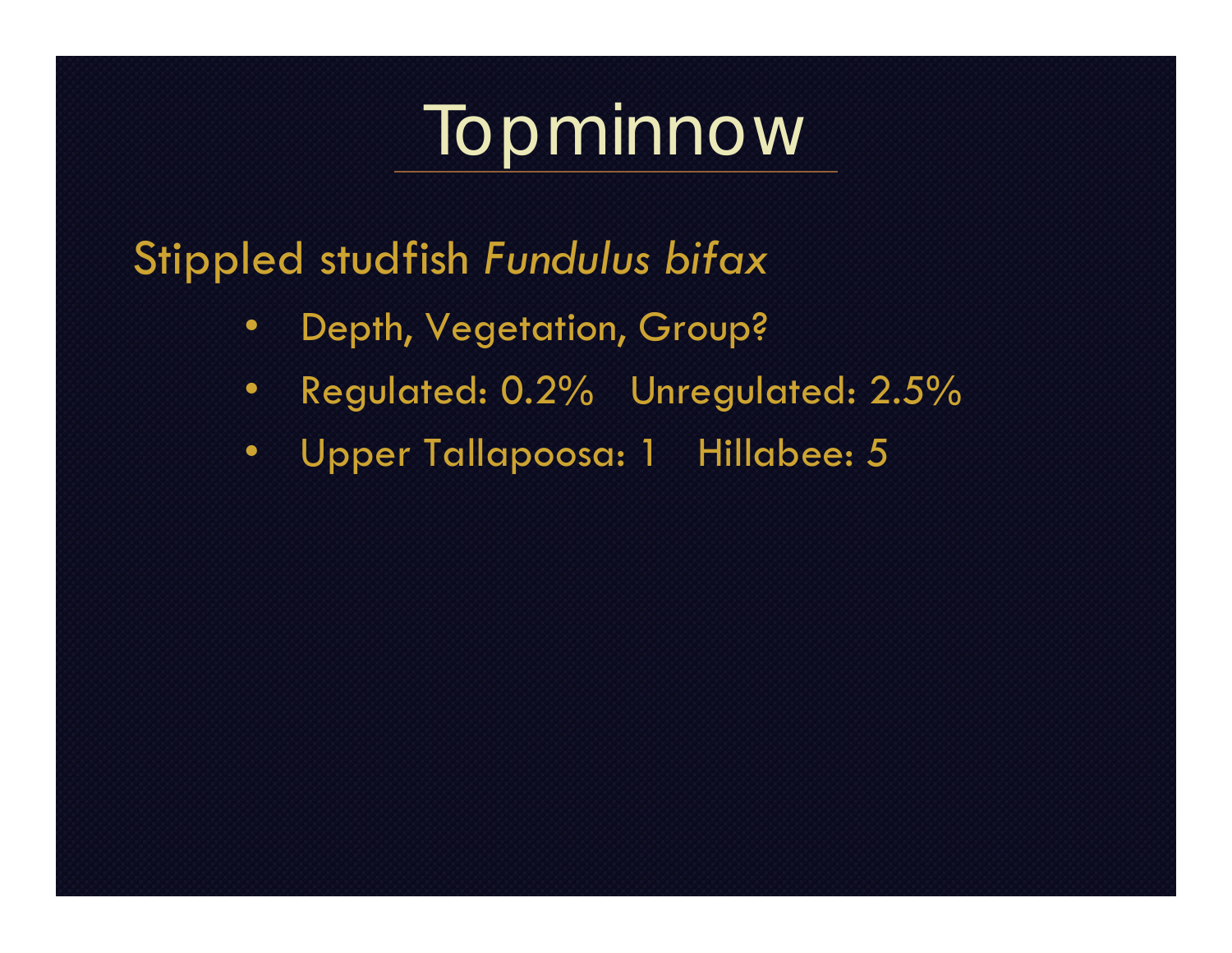## Topminnow

Stippled studfish *Fundulus bifax*

- Depth, Vegetation, Group?
- Regulated: 0.2% Unregulated: 2.5%
- Upper Tallapoosa: 1 Hillabee: 5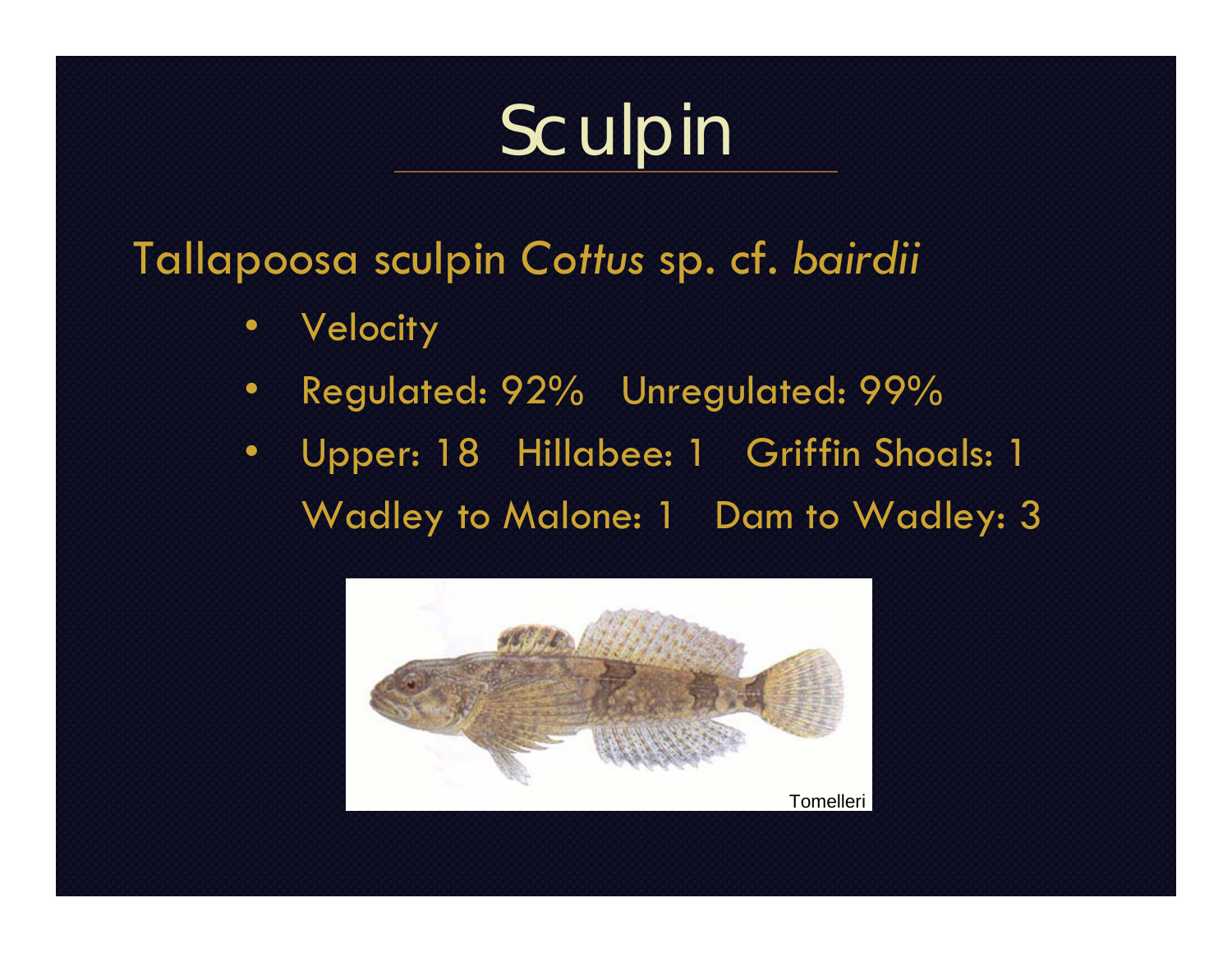# Sculpin

#### Tallapoosa sculpin *Cottus* sp. cf. *bairdii*

- •**Velocity**
- •Regulated: 92% Unregulated: 99%
- Upper: 18 Hillabee: 1 Griffin Shoals: 1 Wadley to Malone: 1 Dam to Wadley: 3

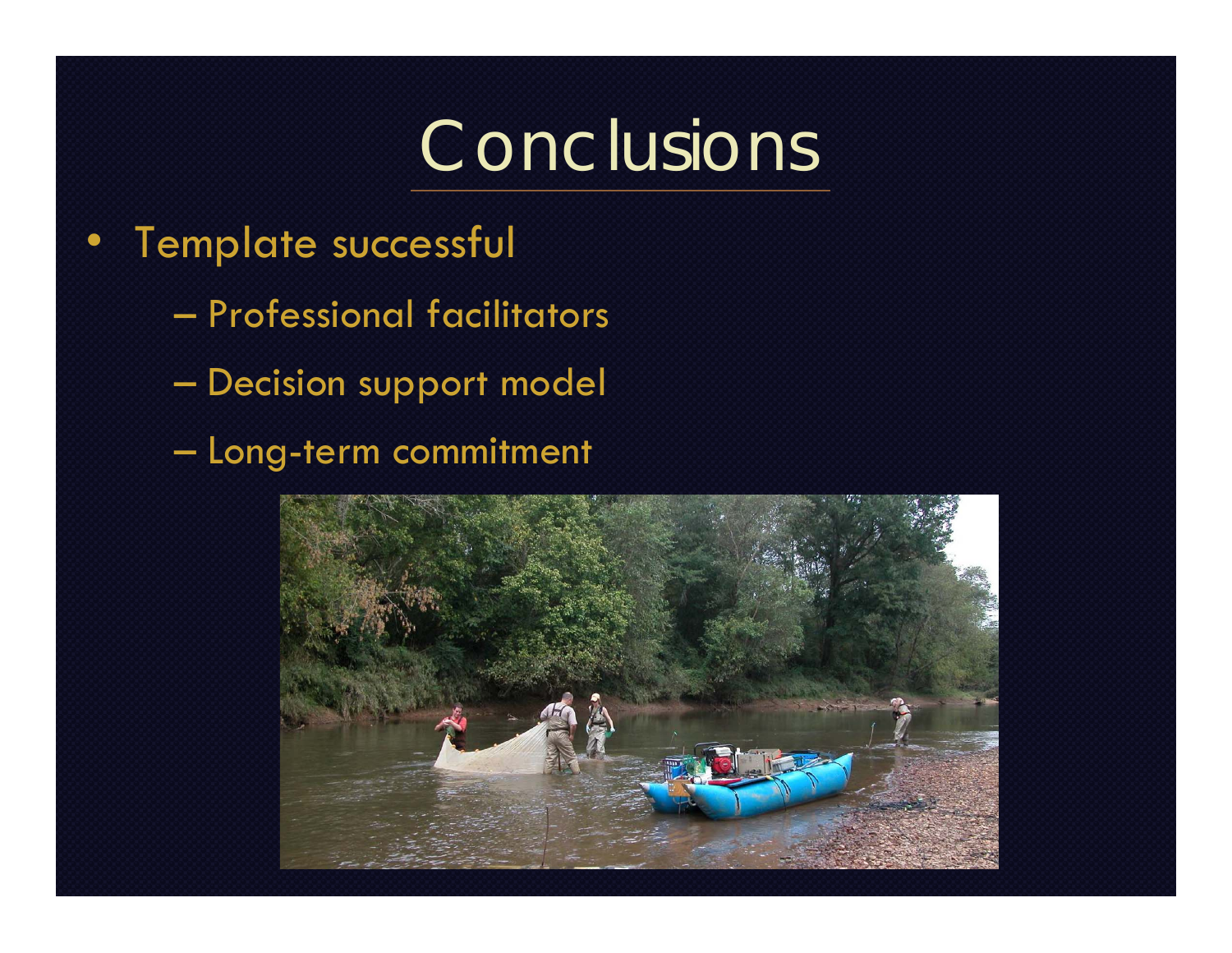### Conclusions

- Template successful
	- Professional facilitators
	- $\mathcal{L}_{\mathcal{A}}$ Decision support model
	- $\mathcal{L}_{\mathcal{A}}$ Long-term commitment